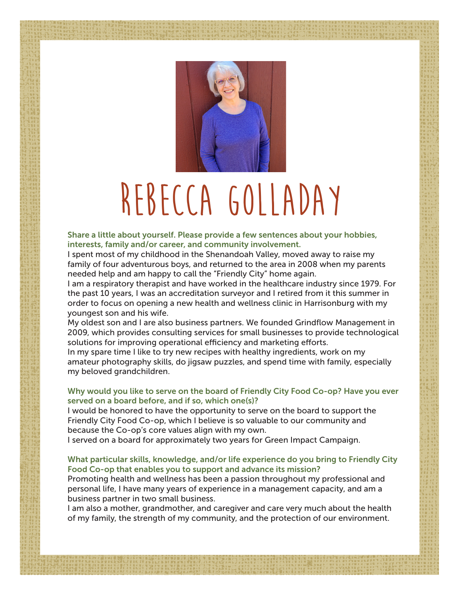

## **Rebecca Golladay**

Share a little about yourself. Please provide a few sentences about your hobbies, interests, family and/or career, and community involvement.

I spent most of my childhood in the Shenandoah Valley, moved away to raise my family of four adventurous boys, and returned to the area in 2008 when my parents needed help and am happy to call the "Friendly City" home again.

I am a respiratory therapist and have worked in the healthcare industry since 1979. For the past 10 years, I was an accreditation surveyor and I retired from it this summer in order to focus on opening a new health and wellness clinic in Harrisonburg with my youngest son and his wife.

My oldest son and I are also business partners. We founded Grindflow Management in 2009, which provides consulting services for small businesses to provide technological solutions for improving operational efficiency and marketing efforts.

In my spare time I like to try new recipes with healthy ingredients, work on my amateur photography skills, do jigsaw puzzles, and spend time with family, especially my beloved grandchildren.

## Why would you like to serve on the board of Friendly City Food Co-op? Have you ever served on a board before, and if so, which one(s)?

I would be honored to have the opportunity to serve on the board to support the Friendly City Food Co-op, which I believe is so valuable to our community and because the Co-op's core values align with my own.

I served on a board for approximately two years for Green Impact Campaign.

### What particular skills, knowledge, and/or life experience do you bring to Friendly City Food Co-op that enables you to support and advance its mission?

Promoting health and wellness has been a passion throughout my professional and personal life, I have many years of experience in a management capacity, and am a business partner in two small business.

I am also a mother, grandmother, and caregiver and care very much about the health of my family, the strength of my community, and the protection of our environment.